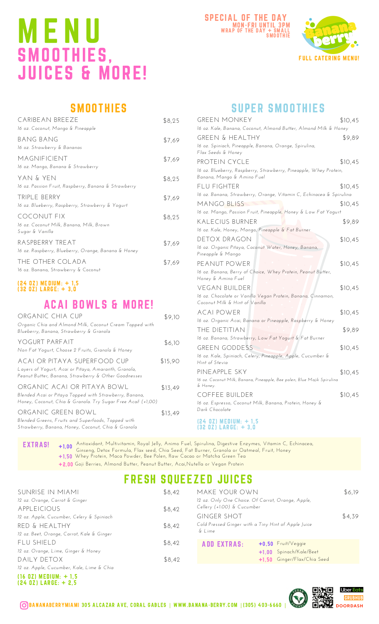# M E N U SMOOTHIES, JUICES & MORE!





## **SMOOTHIES**

| CARIBEAN BREEZE<br>16 oz. Coconut, Mango & Pineapple                              | \$8,25 |
|-----------------------------------------------------------------------------------|--------|
| BANG BANG<br>16 oz. Strawberry & Bananas                                          | \$7,69 |
| MAGNIFICIENT<br>16 oz. Mango, Banana & Strawberry                                 | \$7,69 |
| yan & yen<br>16 oz. Passion Fruit, Raspberry, Banana & Strawberry                 | \$8,25 |
| TRIPLE BERRY<br>16 oz. Blueberry, Raspberry, Strawberry & Yogurt                  | \$7,69 |
| <b>COCONUT FIX</b><br>16 oz. Coconut Milk, Banana, Milk, Brown<br>Sugar & Vanilla | \$8,25 |
| RASPBERRY TREAT<br>16 oz. Raspberry, Blueberry, Orange, Banana & Honey            | \$7,69 |
| THE OTHER COLADA<br>16 oz. Banana, Strawberry & Coconut                           | \$7,69 |

#### (24 OZ) MEDIUM: + 1,5 (32 OZ) LARGE: + 3,0

### ACAI BOWLS & MORE!

| ORGANIC CHIA CUP<br>Organic Chia and Almond Milk, Coconut Cream Topped with<br>Blueberry, Banana, Strawberry & Granola                                | \$9,10  |
|-------------------------------------------------------------------------------------------------------------------------------------------------------|---------|
| YOGURT PARFAIT<br>Non Fat Yogurt, Choose 2 Fruits, Granola & Honey                                                                                    | \$6,10  |
| ACAI OR PITAYA SUPERFOOD CUP<br>Layers of Yogurt, Acai or Pitaya, Amaranth, Granola,<br>Peanut Butter, Banana, Strawberry & Other Goodnesses          | \$15,90 |
| ORGANIC ACAI OR PITAYA BOWL<br>Blended Acai or Pitaya Topped with Strawberry, Banana,<br>Honey, Coconut, Chia & Granola. Try Sugar Free Acail (+1,00) | \$13,49 |
| ORGANIC GREEN BOWL<br>Blended Greens, Fruits and Superfoods, Topped with<br>Strawberry, Banana, Honey, Coconut, Chia & Granola                        | \$13,49 |

### SUPER SMOOTHIES

| <b>GREEN MONKEY</b>                                                                             | \$10,45 |
|-------------------------------------------------------------------------------------------------|---------|
| 16 oz. Kale, Banana, Coconut, Almond Butter, Almond Milk & Honey                                |         |
| <b>GREEN &amp; HEALTHY</b>                                                                      | \$9,89  |
| 16 oz. Spiniach, Pineapple, Banana, Orange, Spirulina,<br>Flax Seeds & Honey                    |         |
| PROTEIN CYCLE                                                                                   | \$10,45 |
| 16 oz. Blueberry, Raspberry, Strawberry, Pineapple, Whey Protein,<br>Banana, Mango & Amino Fuel |         |
| FLU FIGHTER                                                                                     | \$10,45 |
| 16 oz. Banana, Strawberry, Orange, Vitamin C, Echinacea & Spirulina                             |         |
| mango bliss                                                                                     | \$10,45 |
| 16 oz. Mango, Passion Fruit, Pineapple, Honey & Low Fat Yogurt                                  |         |
| KALECIUS BURNER                                                                                 | \$9,89  |
| 16 oz. Kale, Honey, Mango, Pineapple & Fat Burner                                               |         |
| DETOX DRAGON                                                                                    | \$10,45 |
| 16 oz. Organic Pitaya, Coconut Water, Honey, Banana,<br>Pineapple & Mango                       |         |
| peanut power                                                                                    | \$10,45 |
| 16 oz. Banana, Berry of Choice, Whey Protein, Peanut Butter,<br>Honey & Amino Fuel              |         |
| VEGAN BUILDER                                                                                   | \$10,45 |
| 16 oz. Chocolate or Vanilla Vegan Protein, Banana, Cinnamon,<br>Coconut Milk & Hint of Vanilla  |         |
| <b>ACAI POWER</b>                                                                               | \$10,45 |
| 16 oz. Organic Acai, Banana or Pineapple, Raspberry & Honey                                     |         |
| THE DIETITIAN                                                                                   | \$9,89  |
| 16 oz. Banana, Strawberry, Low Fat Yogurt & Fat Burner                                          |         |
| <b>GREEN GODDESS</b>                                                                            | \$10,45 |
| 16 oz. Kale, Spiniach, Celery, Pineapple, Apple, Cucumber &<br>Hint of Stevia                   |         |
| PINE APPLE SKY                                                                                  | \$10,45 |
| 16 oz. Coconut Milk, Banana, Pineapple, Bee polen, Blue Majik Spirulina<br>& Honey.             |         |
| <b>COFFEE BUILDER</b>                                                                           | \$10,45 |
| 16 oz. Espresso, Coconut Milk, Banana, Protein, Honey &<br>Dark Chocolate                       |         |
| (24 OZ) MEDIUM: + 1.5<br>$(32 0Z)$ LARGE: $+ 3,0$                                               |         |

EXTRAS! Antioxidant, Multivitamin, Royal Jelly, Animo Fuel, Spirulina, Digestive Enzymes, Vitamin C, Echinacea, Ginseng, Detox Formula, Flax seed, Chia Seed, Fat Burner, Granola or Oatmeal, Fruit, Honey Whey Protein, Maca Powder, Bee Polen, Raw Cacao or Matcha Green Tea Goji Berries, Almond Butter, Peanut Butter, Acai,Nutella or Vegan Protein +2,00 +1,00 +1,50

## FRESH SQUEEZED JUICES

| SUNRISE IN MIAMI                              | \$8,42 | MAKE YOUR OWN                                                                   |                             | \$6,19 |
|-----------------------------------------------|--------|---------------------------------------------------------------------------------|-----------------------------|--------|
| 12 oz. Orange, Carrot & Ginger<br>APPLEICIOUS | \$8,42 | 12 oz. Only One Choice. Of Carrot, Orange, Apple,<br>Cellery (+1.00) & Cucumber |                             |        |
| 12 oz. Apple, Cucumber, Celery & Spiniach     |        | <b>GINGER SHOT</b>                                                              |                             | \$4,39 |
| RED & HEALTHY                                 | \$8,42 | Cold Pressed Ginger with a Tiny Hint of Apple Juice<br>& Lime                   |                             |        |
| 12 oz. Beet, Orange, Carrot, Kale & Ginger    |        |                                                                                 |                             |        |
| FLU SHIELD                                    | \$8,42 | <b>ADD EXTRAS:</b>                                                              | $+0.50$ Fruit/Veggie        |        |
| 12 oz. Orange, Lime, Ginger & Honey           |        |                                                                                 | +1.00 Spinach/Kale/Beet     |        |
| DAILY DETOX                                   | \$8,42 |                                                                                 | +1.50 Ginger/Flax/Chia Seed |        |
| 12 oz. Apple, Cucumber, Kale, Lime & Chia     |        |                                                                                 |                             |        |

(16 OZ) MEDIUM: + 1,5 (24 OZ) LARGE: + 2,5